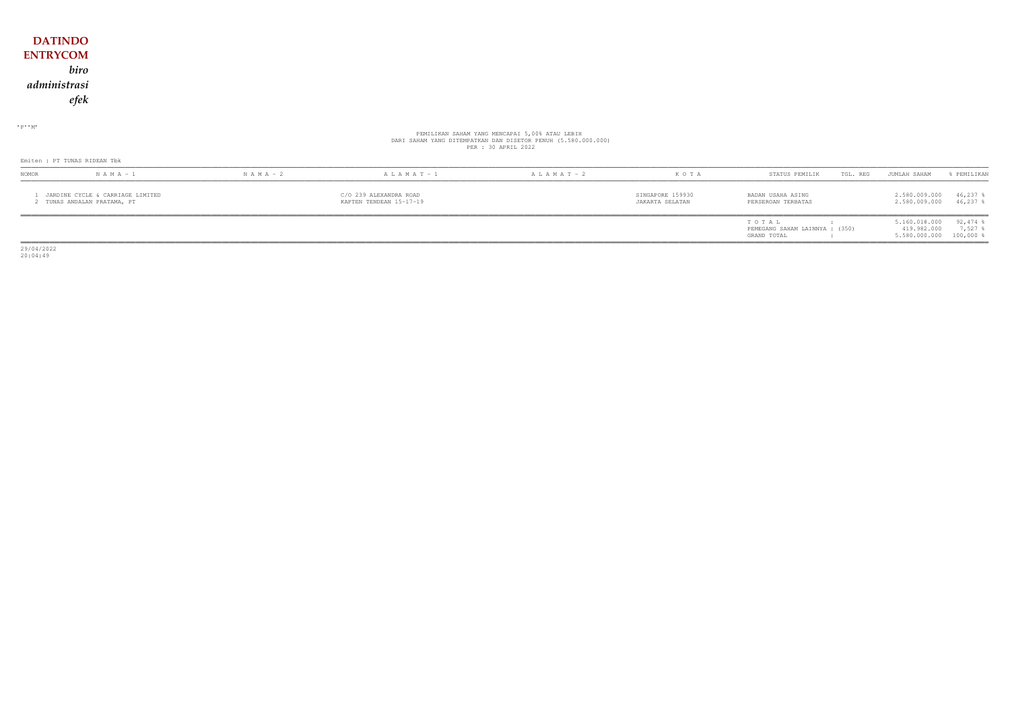## **DATINDO ENTRYCOM** *biro administrasi efek*

 $\cdot$  P  $\cdot$  M  $\cdot$ 

# PEMILIKAN SAHAM YANG MENCAPAI 5,00% ATAU LEBIH DARI SAHAM YANG DITEMPATKAN DAN DISETOR PENUH (5.580.000.000) PER : 30 APRIL 2022

|                                                                 | Emiten : PT TUNAS RIDEAN Tbk |                                    |                                                   |                   |                                     |                                         |  |                                |                           |  |  |
|-----------------------------------------------------------------|------------------------------|------------------------------------|---------------------------------------------------|-------------------|-------------------------------------|-----------------------------------------|--|--------------------------------|---------------------------|--|--|
| NOMOR                                                           | $N A M A - 1$                | $N A M A - 2$<br>$A L A M A T - 1$ |                                                   | $A L A M A T - 2$ | KOTA                                | STATUS PEMILIK<br>TGL. REG              |  | JUMLAH SAHAM                   | & PEMILIKAN               |  |  |
| JARDINE CYCLE & CARRIAGE LIMITED<br>2 TUNAS ANDALAN PRATAMA, PT |                              |                                    | C/O 239 ALEXANDRA ROAD<br>KAPTEN TENDEAN 15-17-19 |                   | SINGAPORE 159930<br>JAKARTA SELATAN | BADAN USAHA ASING<br>PERSEROAN TERBATAS |  | 2.580.009.000<br>2.580.009.000 | $46,237$ %<br>$46.237$ \$ |  |  |
|                                                                 |                              |                                    |                                                   |                   |                                     | TOTAL<br>PEMEGANG SAHAM LAINNYA : (350) |  | 5.160.018.000<br>419.982.000   | $92,474$ %<br>7,527       |  |  |

GRAND TOTAL  $\, \, 5.580.000.000 \, \, 100,000 \, \, \, 8.580.000 \, \, 100,000 \, \, 8.580.000 \, \, 100.000 \, \, 100.000 \, \, 100.000 \, \, 100.000 \, \, 100.000 \, \, 100.000 \, \, 100.000 \, \, 100.000 \, \, 100.000 \, \, 100.000 \, \, 100.000 \, \,$ 

29/04/2022 20:04:49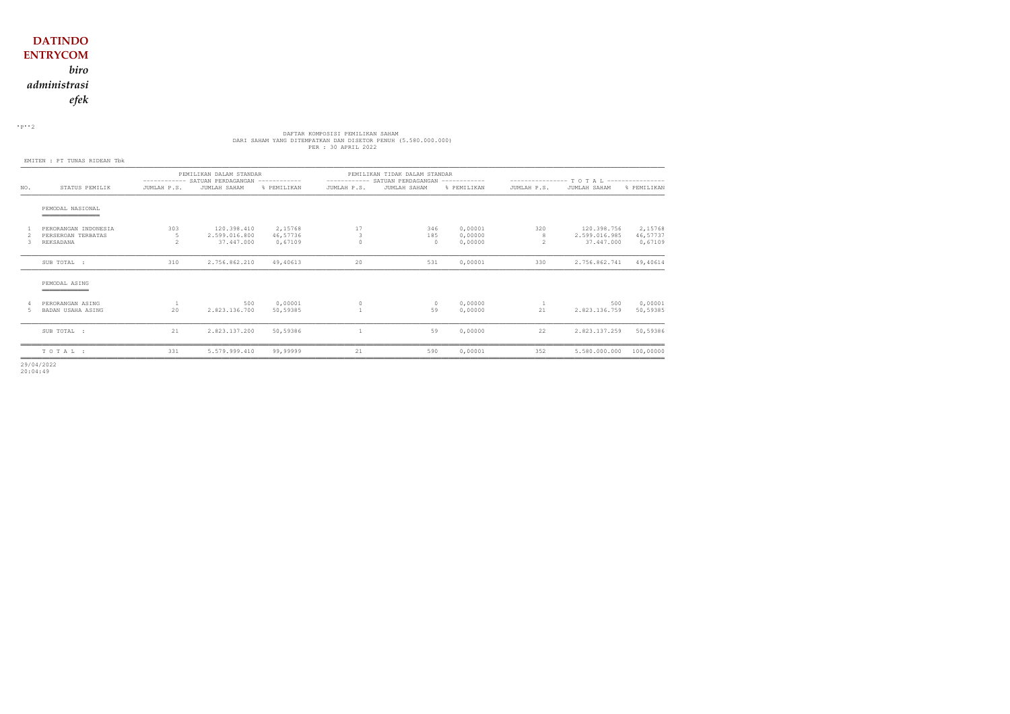$\cdot$  P $\cdot$  2

# DAFTAR KOMPOSISI PEMILIKAN SAHAM<br>DARI SAHAM YANG DITEMPATKAN DAN DISETOR PENUH (5.580.000.000)<br>PER : 30 APRIL 2022

EMITEN : PT TUNAS RIDEAN Tbk

|        |                                                         |                                      | PEMILIKAN DALAM STANDAR<br>----------- SATUAN PERDAGANGAN ------------ |                                |                     | PEMILIKAN TIDAK DALAM STANDAR<br>----------- SATUAN PERDAGANGAN ------------ |                               | ---------------- T O T A L ----------------- |                                            |                                |  |
|--------|---------------------------------------------------------|--------------------------------------|------------------------------------------------------------------------|--------------------------------|---------------------|------------------------------------------------------------------------------|-------------------------------|----------------------------------------------|--------------------------------------------|--------------------------------|--|
| NO.    | STATUS PEMILIK                                          | JUMLAH P.S.                          | JUMLAH SAHAM                                                           | % PEMILIKAN                    | JUMLAH P.S.         | JUMLAH SAHAM                                                                 | % PEMILIKAN                   | JUMLAH P.S.                                  | JUMLAH SAHAM                               | % PEMILIKAN                    |  |
|        | PEMODAL NASIONAL                                        |                                      |                                                                        |                                |                     |                                                                              |                               |                                              |                                            |                                |  |
| 3      | PERORANGAN INDONESIA<br>PERSEROAN TERBATAS<br>REKSADANA | 303<br>5<br>$\overline{\phantom{a}}$ | 120.398.410<br>2.599.016.800<br>37,447,000                             | 2,15768<br>46,57736<br>0.67109 | 17<br>3<br>$\Omega$ | 346<br>185<br>$\circ$                                                        | 0,00001<br>0,00000<br>0,00000 | 320<br>8<br>$\mathfrak{D}$                   | 120.398.756<br>2.599.016.985<br>37.447.000 | 2,15768<br>46,57737<br>0,67109 |  |
|        | SUB TOTAL :                                             | 310                                  | 2.756.862.210                                                          | 49,40613                       | 20                  | 531                                                                          | 0,00001                       | 330                                          | 2.756.862.741                              | 49,40614                       |  |
|        | PEMODAL ASING<br>______________                         |                                      |                                                                        |                                |                     |                                                                              |                               |                                              |                                            |                                |  |
| 4<br>5 | PERORANGAN ASING<br>BADAN USAHA ASING                   | 20                                   | 500<br>2.823.136.700                                                   | 0,00001<br>50,59385            | $\circ$             | $\circ$<br>59                                                                | 0,00000<br>0.00000            | 21                                           | 500<br>2.823.136.759                       | 0,00001<br>50,59385            |  |
|        | SUB TOTAL :                                             | 21                                   | 2.823.137.200                                                          | 50,59386                       |                     | 59                                                                           | 0,00000                       | 22                                           | 2.823.137.259                              | 50,59386                       |  |
|        | TOTAL:                                                  | 331                                  | 5.579.999.410                                                          | 99,99999                       | 21                  | 590                                                                          | 0,00001                       | 352                                          | 5.580.000.000                              | 100,00000                      |  |

29/04/2022 20:04:49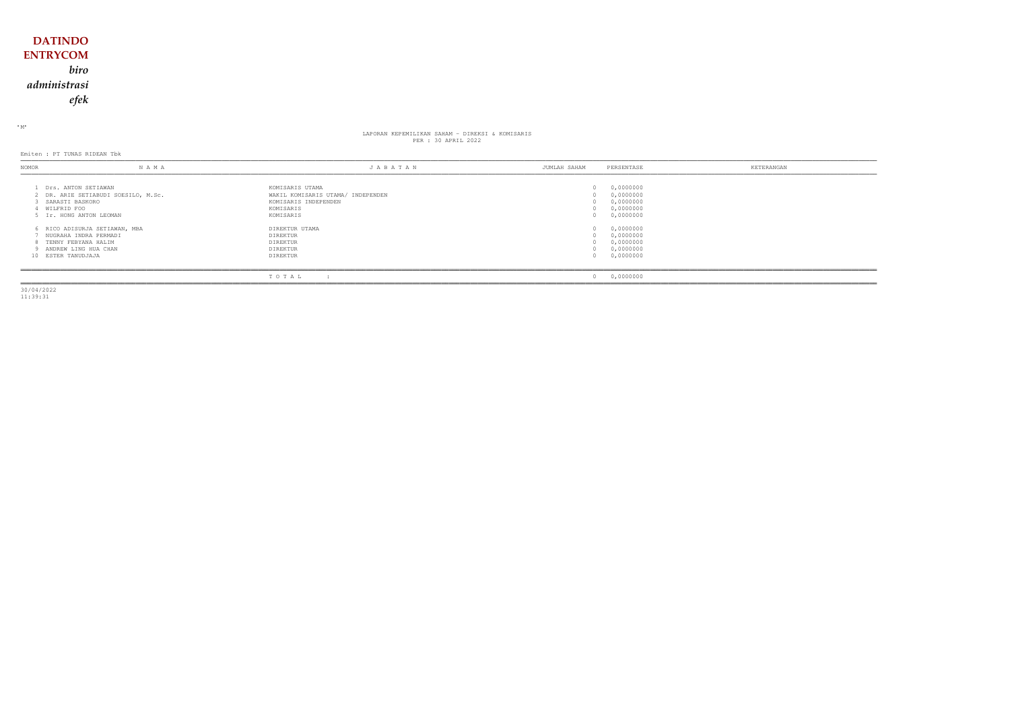## **DATINDO ENTRYCOM** *biro administrasi efek*

<sup>M</sup>

## LAPORAN KEPEMILIKAN SAHAM - DIREKSI & KOMISARIS PER : 30 APRIL 2022

Emiten : PT TUNAS RIDEAN Tbk

| <b>NOMOR</b>       | N A M A                                                                                                | JABATAN                                                                                                | JUMLAH SAHAM | PERSENTASE                                                    | KETERANGAN |
|--------------------|--------------------------------------------------------------------------------------------------------|--------------------------------------------------------------------------------------------------------|--------------|---------------------------------------------------------------|------------|
| WILFRID FOO        | Drs. ANTON SETIAWAN<br>2 DR. ARIE SETIABUDI SOESILO, M.Sc.<br>SARASTI BASKORO<br>Ir. HONG ANTON LEOMAN | KOMISARIS UTAMA<br>WAKIL KOMISARIS UTAMA/ INDEPENDEN<br>KOMISARIS INDEPENDEN<br>KOMISARIS<br>KOMISARIS |              | 0,0000000<br>0,0000000<br>0,0000000<br>0,0000000<br>0,0000000 |            |
| 10 ESTER TANUDJAJA | RICO ADISURJA SETIAWAN, MBA<br>NUGRAHA INDRA PERMADI<br>TENNY FEBYANA HALIM<br>ANDREW LING HUA CHAN    | DIREKTUR UTAMA<br><b>DIREKTUR</b><br><b>DIREKTUR</b><br><b>DIREKTUR</b><br>DIREKTUR                    |              | 0,0000000<br>0,0000000<br>0,0000000<br>0,0000000<br>0,0000000 |            |
|                    |                                                                                                        | TOTAL                                                                                                  |              | 0,0000000                                                     |            |

30/04/2022 11:39:31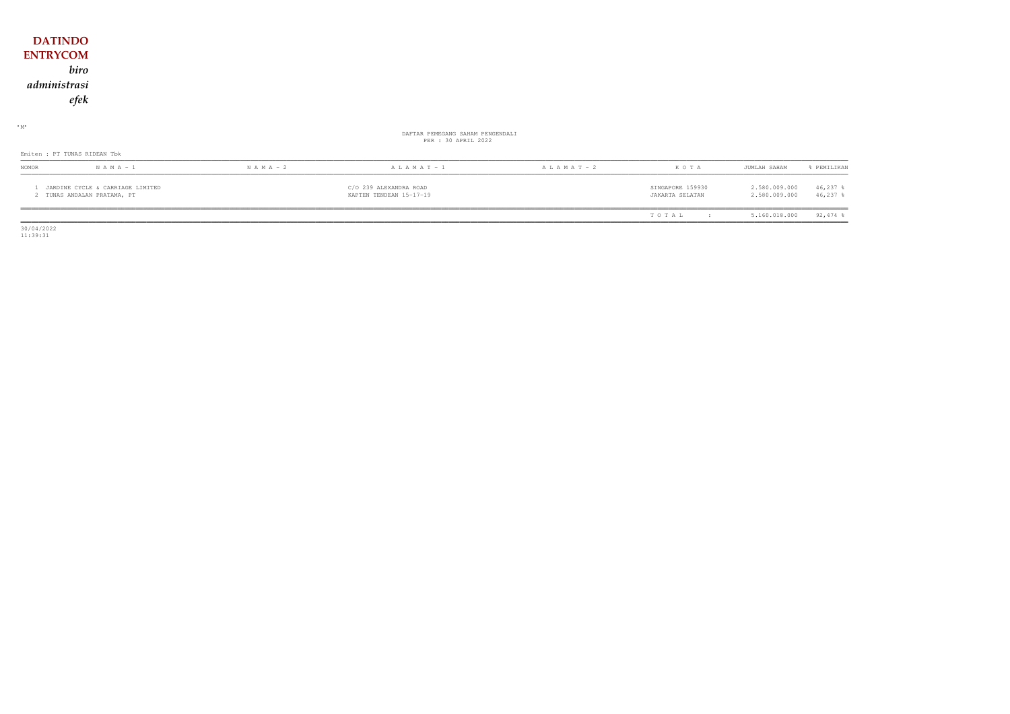## **DATINDO ENTRYCOM** biro administrasi  $e\!f\!e\!k$

### $\cdot$  M  $\cdot$

# DAFTAR PEMEGANG SAHAM PENGENDALI<br>PER : 30 APRIL 2022

#### Emiten : PT TUNAS RIDEAN Tbk

| <b>NOMOR</b>                                                  | $N$ A M A $-1$ | $N A M A - 2$ | ALAMAT-1                                          | $A L A M A T - 2$ | KOTA                                | JUMLAH SAHAM                   | PEMILIKAN              |
|---------------------------------------------------------------|----------------|---------------|---------------------------------------------------|-------------------|-------------------------------------|--------------------------------|------------------------|
| JARDINE CYCLE & CARRIAGE LIMITED<br>TUNAS ANDALAN PRATAMA, PT |                |               | C/O 239 ALEXANDRA ROAD<br>KAPTEN TENDEAN 15-17-19 |                   | SINGAPORE 159930<br>JAKARTA SELATAN | 2.580.009.000<br>2.580.009.000 | $46,237$ %<br>46,237 % |
|                                                               |                |               |                                                   |                   |                                     |                                |                        |

 $\begin{array}{c} 30/04/2022 \\ 11:39:31 \end{array}$